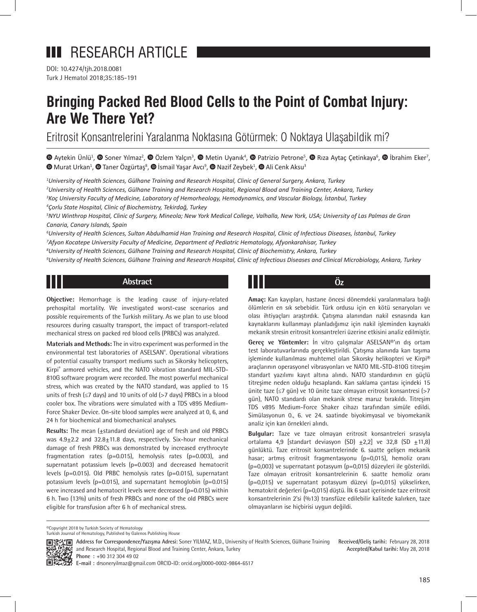DOI: 10.4274/tjh.2018.0081 Turk J Hematol 2018;35:185-191

# **Bringing Packed Red Blood Cells to the Point of Combat Injury: Are We There Yet?**

Eritrosit Konsantrelerini Yaralanma Noktasına Götürmek: O Noktaya Ulaşabildik mi?

'Aytekin Ünlü<sup>1</sup>, ● Soner Yılmaz<sup>2</sup>, ● Özlem Yalçın<sup>3</sup>, ● Metin Uyanık<sup>4</sup>, ● Patrizio Petrone<sup>5</sup>, ● Rıza Aytaç Çetinkaya<sup>6</sup>, ● İbrahim Eker<sup>7</sup>, 'MuratUrkan<sup>1</sup>, <sup>®</sup> Taner Özgürtaş<sup>8</sup>, ® İsmail Yaşar Avcı<sup>9</sup>, ® Nazif Zeybek<sup>1</sup>, ® Ali Cenk Aksu<sup>3</sup>

 *University of Health Sciences, Gülhane Training and Research Hospital, Clinic of General Surgery, Ankara, Turkey University of Health Sciences, Gülhane Training and Research Hospital, Regional Blood and Training Center, Ankara, Turkey Koç University Faculty of Medicine, Laboratory of Hemorheology, Hemodynamics, and Vascular Biology, İstanbul, Turkey Çorlu State Hospital, Clinic of Biochemistry, Tekirdağ, Turkey*

*5 NYU Winthrop Hospital, Clinic of Surgery, Mineola; New York Medical College, Valhalla, New York, USA; University of Las Palmas de Gran Canaria, Canary Islands, Spain*

*6 University of Health Sciences, Sultan Abdulhamid Han Training and Research Hospital, Clinic of Infectious Diseases, İstanbul, Turkey 7 Afyon Kocatepe University Faculty of Medicine, Department of Pediatric Hematology, Afyonkarahisar, Turkey*

*8 University of Health Sciences, Gülhane Training and Research Hospital, Clinic of Biochemistry, Ankara, Turkey*

*9 University of Health Sciences, Gülhane Training and Research Hospital, Clinic of Infectious Diseases and Clinical Microbiology, Ankara, Turkey*

# **Abstract**

**Objective:** Hemorrhage is the leading cause of injury-related prehospital mortality. We investigated worst-case scenarios and possible requirements of the Turkish military. As we plan to use blood resources during casualty transport, the impact of transport-related mechanical stress on packed red blood cells (PRBCs) was analyzed.

**Materials and Methods:** The in vitro experiment was performed in the environmental test laboratories of ASELSAN® . Operational vibrations of potential casualty transport mediums such as Sikorsky helicopters, Kirpi® armored vehicles, and the NATO vibration standard MIL-STD-810G software program were recorded. The most powerful mechanical stress, which was created by the NATO standard, was applied to 15 units of fresh (≤7 days) and 10 units of old (>7 days) PRBCs in a blood cooler box. The vibrations were simulated with a TDS v895 Medium-Force Shaker Device. On-site blood samples were analyzed at 0, 6, and 24 h for biochemical and biomechanical analyses.

**Results:** The mean ( $\pm$ standard deviation) age of fresh and old PRBCs was 4.9+2.2 and 32.8+11.8 days, respectively. Six-hour mechanical damage of fresh PRBCs was demonstrated by increased erythrocyte fragmentation rates (p=0.015), hemolysis rates (p=0.003), and supernatant potassium levels (p=0.003) and decreased hematocrit levels (p=0.015). Old PRBC hemolysis rates (p=0.015), supernatant potassium levels (p=0.015), and supernatant hemoglobin (p=0.015) were increased and hematocrit levels were decreased (p=0.015) within 6 h. Two (13%) units of fresh PRBCs and none of the old PRBCs were eligible for transfusion after 6 h of mechanical stress.

**Öz**

**Amaç:** Kan kayıpları, hastane öncesi dönemdeki yaralanmalara bağlı ölümlerin en sık sebebidir. Türk ordusu için en kötü senaryoları ve olası ihtiyaçları araştırdık. Çatışma alanından nakil esnasında kan kaynaklarını kullanmayı planladığımız için nakil işleminden kaynaklı mekanik stresin eritrosit konsantreleri üzerine etkisini analiz edilmiştir.

**Gereç ve Yöntemler:** İn vitro çalışmalar ASELSAN®'ın dış ortam test laboratuvarlarında gerçekleştirildi. Çatışma alanında kan taşıma işleminde kullanılması muhtemel olan Sikorsky helikopteri ve Kirpi® araçlarının operasyonel vibrasyonları ve NATO MIL-STD-810G titreşim standart yazılımı kayıt altına alındı. NATO standardının en güçlü titreşime neden olduğu hesaplandı. Kan saklama çantası içindeki 15 ünite taze (≤7 gün) ve 10 ünite taze olmayan eritrosit konsantresi (>7 gün), NATO standardı olan mekanik strese maruz bırakıldı. Titreşim TDS v895 Medium-Force Shaker cihazı tarafından simüle edildi. Simülasyonun 0., 6. ve 24. saatinde biyokimyasal ve biyomekanik analiz için kan örnekleri alındı.

**Bulgular:** Taze ve taze olmayan eritrosit konsantreleri sırasıyla ortalama 4,9 [standart deviasyon (SD)  $\pm 2$ ,2] ve 32,8 (SD  $\pm 11$ ,8) günlüktü. Taze eritrosit konsantrelerinde 6. saatte gelişen mekanik hasar; artmış eritrosit fragmentasyonu (p=0,015), hemoliz oranı (p=0,003) ve supernatant potasyum (p=0,015) düzeyleri ile gösterildi. Taze olmayan eritrosit konsantrelerinin 6. saatte hemoliz oranı (p=0,015) ve supernatant potasyum düzeyi (p=0,015) yükselirken, hematokrit değerleri (p=0,015) düştü. İlk 6 saat içerisinde taze eritrosit konsantrelerinin 2'si (%13) transfüze edilebilir kalitede kalırken, taze olmayanların ise hiçbirisi uygun değildi.

©Copyright 2018 by Turkish Society of Hematology

Turkish Journal of Hematology, Published by Galenos Publishing House

**Received/Geliş tarihi:** February 28, 2018 **Accepted/Kabul tarihi:** May 28, 2018

**国语名画 Address for Correspondence/Yazisma Adresi:** Soner YILMAZ, M.D., University of Health Sciences, Gülhane Training<br><del>婚母的</del>教部 and Research Hospital, Resignal Place on Training 滺 and Research Hospital, Regional Blood and Training Center, Ankara, Turkey **Phone :** +90 312 304 49 02

**E-mail :** drsoneryilmaz@gmail.com ORCID-ID: orcid.org/0000-0002-9864-6517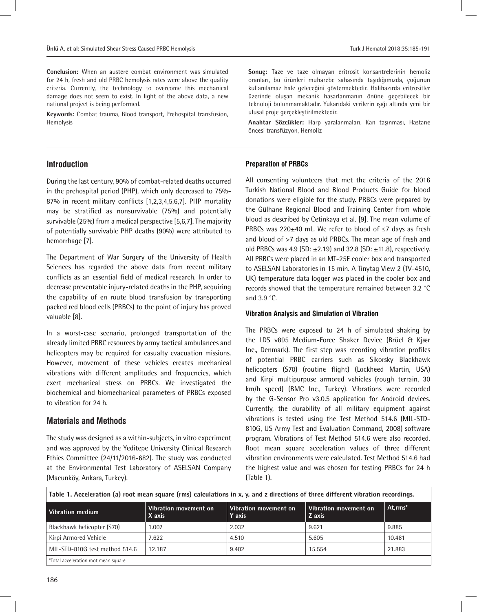**Conclusion:** When an austere combat environment was simulated for 24 h, fresh and old PRBC hemolysis rates were above the quality criteria. Currently, the technology to overcome this mechanical damage does not seem to exist. In light of the above data, a new national project is being performed.

**Keywords:** Combat trauma, Blood transport, Prehospital transfusion, Hemolysis

# **Introduction**

During the last century, 90% of combat-related deaths occurred in the prehospital period (PHP), which only decreased to 75%- 87% in recent military conflicts [1,2,3,4,5,6,7]. PHP mortality may be stratified as nonsurvivable (75%) and potentially survivable (25%) from a medical perspective [5,6,7]. The majority of potentially survivable PHP deaths (90%) were attributed to hemorrhage [7].

The Department of War Surgery of the University of Health Sciences has regarded the above data from recent military conflicts as an essential field of medical research. In order to decrease preventable injury-related deaths in the PHP, acquiring the capability of en route blood transfusion by transporting packed red blood cells (PRBCs) to the point of injury has proved valuable [8].

In a worst-case scenario, prolonged transportation of the already limited PRBC resources by army tactical ambulances and helicopters may be required for casualty evacuation missions. However, movement of these vehicles creates mechanical vibrations with different amplitudes and frequencies, which exert mechanical stress on PRBCs. We investigated the biochemical and biomechanical parameters of PRBCs exposed to vibration for 24 h.

# **Materials and Methods**

The study was designed as a within-subjects, in vitro experiment and was approved by the Yeditepe University Clinical Research Ethics Committee (24/11/2016-682). The study was conducted at the Environmental Test Laboratory of ASELSAN Company (Macunköy, Ankara, Turkey).

**Sonuç:** Taze ve taze olmayan eritrosit konsantrelerinin hemoliz oranları, bu ürünleri muharebe sahasında taşıdığımızda, çoğunun kullanılamaz hale geleceğini göstermektedir. Halihazırda eritrositler üzerinde oluşan mekanik hasarlanmanın önüne geçebilecek bir teknoloji bulunmamaktadır. Yukarıdaki verilerin ışığı altında yeni bir ulusal proje gerçekleştirilmektedir.

**Anahtar Sözcükler:** Harp yaralanmaları, Kan taşınması, Hastane öncesi transfüzyon, Hemoliz

## **Preparation of PRBCs**

All consenting volunteers that met the criteria of the 2016 Turkish National Blood and Blood Products Guide for blood donations were eligible for the study. PRBCs were prepared by the Gülhane Regional Blood and Training Center from whole blood as described by Cetinkaya et al. [9]. The mean volume of PRBCs was 220 $\pm$ 40 mL. We refer to blood of  $\leq$ 7 days as fresh and blood of >7 days as old PRBCs. The mean age of fresh and old PRBCs was 4.9 (SD:  $\pm$ 2.19) and 32.8 (SD:  $\pm$ 11.8), respectively. All PRBCs were placed in an MT-25E cooler box and transported to ASELSAN Laboratories in 15 min. A Tinytag View 2 (TV-4510, UK) temperature data logger was placed in the cooler box and records showed that the temperature remained between 3.2 °C and 3.9 °C.

## **Vibration Analysis and Simulation of Vibration**

The PRBCs were exposed to 24 h of simulated shaking by the LDS v895 Medium-Force Shaker Device (Brüel & Kjær Inc., Denmark). The first step was recording vibration profiles of potential PRBC carriers such as Sikorsky Blackhawk helicopters (S70) (routine flight) (Lockheed Martin, USA) and Kirpi multipurpose armored vehicles (rough terrain, 30 km/h speed) (BMC Inc., Turkey). Vibrations were recorded by the G-Sensor Pro v3.0.5 application for Android devices. Currently, the durability of all military equipment against vibrations is tested using the Test Method 514.6 (MIL-STD-810G, US Army Test and Evaluation Command, 2008) software program. Vibrations of Test Method 514.6 were also recorded. Root mean square acceleration values of three different vibration environments were calculated. Test Method 514.6 had the highest value and was chosen for testing PRBCs for 24 h (Table 1).

**Table 1. Acceleration (a) root mean square (rms) calculations in x, y, and z directions of three different vibration recordings.**

| Vibration medium                     | Vibration movement on<br>X axis | Vibration movement on<br>Y axis | Vibration movement on<br>Z axis | At.rms* |
|--------------------------------------|---------------------------------|---------------------------------|---------------------------------|---------|
| Blackhawk helicopter (S70)           | .007                            | 2.032                           | 9.621                           | 9.885   |
| Kirpi Armored Vehicle                | 7.622                           | 4.510                           | 5.605                           | 10.481  |
| MIL-STD-810G test method 514.6       | 12.187                          | 9.402                           | 15.554                          | 21.883  |
| Total acceleration root mean square. |                                 |                                 |                                 |         |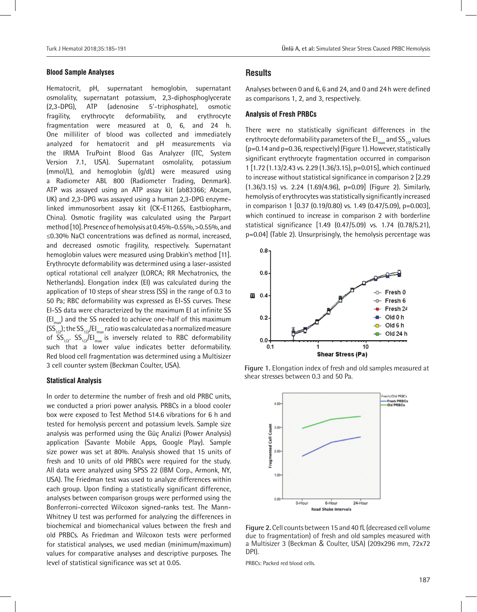#### **Blood Sample Analyses**

Hematocrit, pH, supernatant hemoglobin, supernatant osmolality, supernatant potassium, 2,3-diphosphoglycerate (2,3-DPG), ATP (adenosine 5′-triphosphate), osmotic fragility, erythrocyte deformability, and erythrocyte fragmentation were measured at 0, 6, and 24 h. One milliliter of blood was collected and immediately analyzed for hematocrit and pH measurements via the IRMA TruPoint Blood Gas Analyzer (ITC, System Version 7.1, USA). Supernatant osmolality, potassium (mmol/L), and hemoglobin (g/dL) were measured using a Radiometer ABL 800 (Radiometer Trading, Denmark). ATP was assayed using an ATP assay kit (ab83366; Abcam, UK) and 2,3-DPG was assayed using a human 2,3-DPG enzymelinked immunosorbent assay kit (CK-E11265, Eastbiopharm, China). Osmotic fragility was calculated using the Parpart method [10]. Presence of hemolysis at 0.45%-0.55%, >0.55%, and ≤0.30% NaCl concentrations was defined as normal, increased, and decreased osmotic fragility, respectively. Supernatant hemoglobin values were measured using Drabkin's method [11]. Erythrocyte deformability was determined using a laser-assisted optical rotational cell analyzer (LORCA; RR Mechatronics, the Netherlands). Elongation index (EI) was calculated during the application of 10 steps of shear stress (SS) in the range of 0.3 to 50 Pa; RBC deformability was expressed as EI-SS curves. These EI-SS data were characterized by the maximum EI at infinite SS  $[El_{max}]$  and the SS needed to achieve one-half of this maximum  $(SS_{1/2})$ ; the SS<sub>1/2</sub>/EI<sub>max</sub> ratio was calculated as a normalized measure of  $SS_{1/2}$ .  $SS_{1/2}/EH_{\text{max}}$  is inversely related to RBC deformability such that a lower value indicates better deformability. Red blood cell fragmentation was determined using a Multisizer 3 cell counter system (Beckman Coulter, USA).

# **Statistical Analysis**

In order to determine the number of fresh and old PRBC units, we conducted a priori power analysis. PRBCs in a blood cooler box were exposed to Test Method 514.6 vibrations for 6 h and tested for hemolysis percent and potassium levels. Sample size analysis was performed using the Güç Analizi (Power Analysis) application (Savante Mobile Apps, Google Play). Sample size power was set at 80%. Analysis showed that 15 units of fresh and 10 units of old PRBCs were required for the study. All data were analyzed using SPSS 22 (IBM Corp., Armonk, NY, USA). The Friedman test was used to analyze differences within each group. Upon finding a statistically significant difference, analyses between comparison groups were performed using the Bonferroni-corrected Wilcoxon signed-ranks test. The Mann-Whitney U test was performed for analyzing the differences in biochemical and biomechanical values between the fresh and old PRBCs. As Friedman and Wilcoxon tests were performed for statistical analyses, we used median (minimum/maximum) values for comparative analyses and descriptive purposes. The level of statistical significance was set at 0.05.

# **Results**

Analyses between 0 and 6, 6 and 24, and 0 and 24h were defined as comparisons 1, 2, and 3, respectively.

#### **Analysis of Fresh PRBCs**

There were no statistically significant differences in the erythrocyte deformability parameters of the  $El_{max}$  and  $SS_{1/2}$  values (p=0.14 and p=0.36, respectively) (Figure 1). However, statistically significant erythrocyte fragmentation occurred in comparison 1 [1.72 (1.13/2.43 vs. 2.29 (1.36/3.15), p=0.015], which continued to increase without statistical significance in comparison 2 [2.29 (1.36/3.15) vs. 2.24 (1.69/4.96), p=0.09] (Figure 2). Similarly, hemolysis of erythrocytes was statistically significantly increased in comparison 1 [0.37 (0.19/0.80) vs. 1.49 (0.47/5.09), p=0.003], which continued to increase in comparison 2 with borderline statistical significance [1.49 (0.47/5.09) vs. 1.74 (0.78/5.21), p=0.04] (Table 2). Unsurprisingly, the hemolysis percentage was







**Figure 2.** Cell counts between 15 and 40 fL (decreased cell volume due to fragmentation) of fresh and old samples measured with a Multisizer 3 (Beckman & Coulter, USA) (209x296 mm, 72x72 DPI).

PRBCs: Packed red blood cells.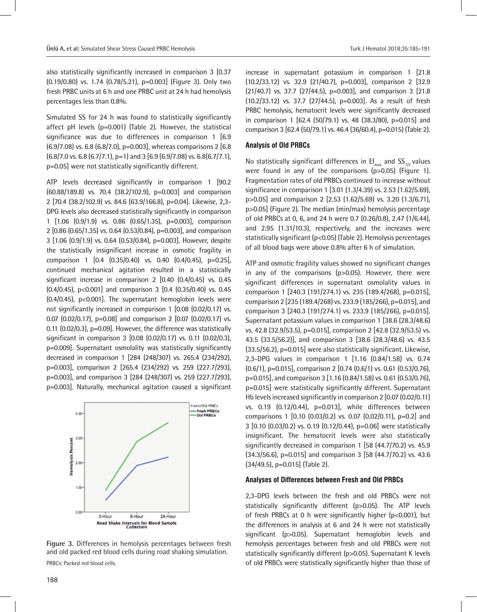also statistically significantly increased in comparison 3 [0.37 (0.19/0.80) vs. 1.74 (0.78/5.21), p=0.003] (Figure 3). Only two fresh PRBC units at 6 h and one PRBC unit at 24 h had hemolysis percentages less than 0.8%.

Simulated SS for 24 h was found to statistically significantly affect pH levels (p=0.001) (Table 2). However, the statistical significance was due to differences in comparison 1 [6.9 (6.9/7.08) vs. 6.8 (6.8/7.0), p=0.003], whereas comparisons 2 [6.8  $(6.8/7.0 \text{ vs. } 6.8 (6.7/7.1), p=1)$  and 3  $[6.9 (6.9/7.08) \text{ vs. } 6.8 (6.7/7.1),$ p=0.05] were not statistically significantly different.

ATP levels decreased significantly in comparison 1 [90.2 (60.88/189.8) vs. 70.4 (38.2/102.9), p=0.003] and comparison 2 [70.4 (38.2/102.9) vs. 84.6 (63.9/166.8), p=0.04]. Likewise, 2,3- DPG levels also decreased statistically significantly in comparison 1 [1.06 (0.9/1.9) vs. 0.86 (0.65/1.35), p=0.003], comparison 2 [0.86 (0.65/1.35) vs. 0.64 (0.53/0.84), p=0.003], and comparison 3 [1.06 (0.9/1.9) vs. 0.64 (0.53/0.84), p=0.003]. However, despite the statistically insignificant increase in osmotic fragility in comparison 1 [0.4 (0.35/0.40) vs. 0.40 (0.4/0.45), p=0.25], continued mechanical agitation resulted in a statistically significant increase in comparison 2 [0.40 (0.4/0.45) vs. 0.45  $(0.4/0.45)$ , p<0.001] and comparison 3  $[0.4 (0.35/0.40)$  vs. 0.45 (0.4/0.45), p<0.001]. The supernatant hemoglobin levels were not significantly increased in comparison 1 [0.08 (0.02/0.17) vs. 0.07 (0.02/0.17), p=0.08] and comparison 2  $[0.07 (0.02/0.17)$  vs. 0.11 (0.02/0.3), p=0.09]. However, the difference was statistically significant in comparison 3 [0.08 (0.02/0.17) vs. 0.11 (0.02/0.3), p=0.009]. Supernatant osmolality was statistically significantly decreased in comparison 1 [284 (248/307) vs. 265.4 (234/292), p=0.003], comparison 2 [265.4 (234/292) vs. 259 (227.7/293), p=0.003], and comparison 3 [284 (248/307) vs. 259 (227.7/293), p=0.003]. Naturally, mechanical agitation caused a significant



**Figure 3.** Differences in hemolysis percentages between fresh and old packed red blood cells during road shaking simulation. PRBCs: Packed red blood cells.

increase in supernatant potassium in comparison 1 [21.8 (10.2/33.12) vs. 32.9 (21/40.7), p=0.003], comparison 2 [32.9  $(21/40.7)$  vs. 37.7  $(27/44.5)$ , p=0.003], and comparison 3  $[21.8]$ (10.2/33.12) vs. 37.7 (27/44.5), p=0.003]. As a result of fresh PRBC hemolysis, hematocrit levels were significantly decreased in comparison 1  $[62.4 (50/79.1)$  vs. 48  $(38.3/80)$ , p=0.015] and comparison 3 [62.4 (50/79.1) vs. 46.4 (36/60.4), p=0.015) (Table 2).

## **Analysis of Old PRBCs**

No statistically significant differences in  $EI_{max}$  and  $SS_{1/2}$  values were found in any of the comparisons (p>0.05) (Figure 1). Fragmentation rates of old PRBCs continued to increase without significance in comparison 1 [3.01 (1.3/4.39) vs. 2.53 (1.62/5.69), p>0.05] and comparison 2 [2.53 (1.62/5.69) vs. 3.20 (1.3/6.71), p>0.05] (Figure 2). The median (min/max) hemolysis percentage of old PRBCs at 0, 6, and 24 h were 0.7 (0.26/0.8), 2.47 (1/6.44), and 2.95 (1.31/10.3), respectively, and the increases were statistically significant (p<0.05) (Table 2). Hemolysis percentages of all blood bags were above 0.8% after 6 h of simulation.

ATP and osmotic fragility values showed no significant changes in any of the comparisons (p>0.05). However, there were significant differences in supernatant osmolality values in comparison 1 [240.3 (191/274.1) vs. 235 (189.4/268), p=0.015], comparison 2 [235 (189.4/268) vs. 233.9 (185/266), p=0.015], and comparison 3 [240.3 (191/274.1) vs. 233.9 (185/266), p=0.015]. Supernatant potassium values in comparison 1 [38.6 (28.3/48.6) vs. 42.8 (32.9/53.5), p=0.015], comparison 2 [42.8 (32.9/53.5) vs. 43.5 (33.5/56.2)], and comparison 3 [38.6 (28.3/48.6) vs. 43.5 (33.5/56.2), p=0.015] were also statistically significant. Likewise, 2,3-DPG values in comparison 1 [1.16 (0.84/1.58) vs. 0.74  $(0.6/1)$ , p=0.015], comparison 2  $[0.74 (0.6/1)$  vs. 0.61  $(0.53/0.76)$ .  $p=0.015$ , and comparison 3 [1.16 (0.84/1.58) vs. 0.61 (0.53/0.76), p=0.015] were statistically significantly different. Supernatant Hb levels increased significantly in comparison 2 [0.07 (0.02/0.11) vs. 0.19 (0.12/0.44), p=0.013], while differences between comparisons 1 [0.10 (0.03/0.2) vs. 0.07 (0.02/0.11), p=0.2] and 3 [0.10 (0.03/0.2) vs. 0.19 (0.12/0.44), p=0.06] were statistically insignificant. The hematocrit levels were also statistically significantly decreased in comparison 1 [58 (44.7/70.2) vs. 45.9 (34.3/56.6), p=0.015] and comparison 3 [58 (44.7/70.2) vs. 43.6 (34/49.5), p=0.015] (Table 2).

#### **Analyses of Differences between Fresh and Old PRBCs**

2,3-DPG levels between the fresh and old PRBCs were not statistically significantly different (p>0.05). The ATP levels of fresh PRBCs at 0 h were significantly higher (p<0.001), but the differences in analysis at 6 and 24 h were not statistically significant (p>0.05). Supernatant hemoglobin levels and hemolysis percentages between fresh and old PRBCs were not statistically significantly different (p>0.05). Supernatant K levels of old PRBCs were statistically significantly higher than those of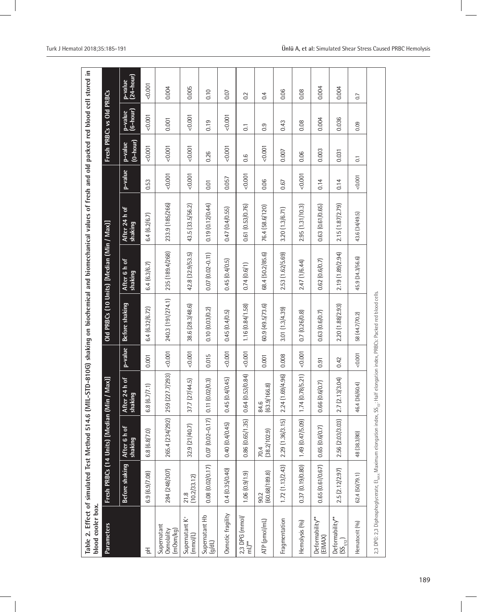| blood cooler box.                                  |                       |                                     |                                                 |         |                                                                                                                                                         |                                           | Table 2. Effect of simulated Test Method 514.6 (MIL-STD-810G) shaking on biochemical and biomechanical values of fresh and old packed red blood cell stored in |         |                                  |                          |                      |
|----------------------------------------------------|-----------------------|-------------------------------------|-------------------------------------------------|---------|---------------------------------------------------------------------------------------------------------------------------------------------------------|-------------------------------------------|----------------------------------------------------------------------------------------------------------------------------------------------------------------|---------|----------------------------------|--------------------------|----------------------|
| <b>Parameters</b>                                  |                       | Fresh PRBCs (14 Units) [Median (Min | $Max$ ]                                         |         |                                                                                                                                                         | Old PRBCs (10 Units) [Median (Min / Max)] |                                                                                                                                                                |         |                                  | Fresh PRBCs vs Old PRBCs |                      |
|                                                    | Before shaking        | After 6 h of<br>shaking             | 24 h of<br>$\overline{a}$<br>After 2<br>shaking | p-value | Before shaking                                                                                                                                          | After 6 h of<br>shaking                   | After 24 h of<br>shaking                                                                                                                                       | p-value | $(0 - h \text{ our})$<br>p-value | p-value<br>(6-hour)      | p-value<br>(24-hour) |
| 공                                                  | 6.9(6.9/7.08)         | 6.8 (6.8/7.0)                       | 6.8(6.7/7.1)                                    | 0.001   | 6.4(6.32/6.72)                                                                                                                                          | 6.4(6.3/6.7)                              | 6.4(6.2/6.7)                                                                                                                                                   | 0.53    | 0.001                            | 0.001                    | 0.001                |
| Supernatant<br>Osmolality<br>(mOsm/kg)             | 284 (248/307)         | 265.4 (234/292)                     | 259 (227.7/293)                                 | 0.001   | 240.3 (191/274.1)                                                                                                                                       | 235 (189.4/268)                           | 233.9 (185/266)                                                                                                                                                | 0.001   | 0.001                            | 0.001                    | 0.004                |
| Supernatant K <sup>+</sup><br>(mm <sub>0</sub> /L) | (10.2/33.12)<br>21.8  | 32.9 (21/40.7)                      | 7/44.5<br>37.7 (27)                             | 0.001   | 38.6 (28.3/48.6)                                                                                                                                        | 42.8 (32.9/53.5)                          | 43.5 (33.5/56.2)                                                                                                                                               | 0.001   | 0.001                            | 0.001                    | 0.005                |
| Supernatant Hb<br>(y/d)                            | 0.08 (0.02/0.17)      | $0.07(0.02 - 0.17)$                 | 0.11(0.02/0.3)                                  | 0.015   | 0.10(0.03/0.2)                                                                                                                                          | $0.07(0.02 - 0.11)$                       | 0.19(0.12/0.44)                                                                                                                                                | 0.01    | 0.26                             | 0.19                     | 0.10                 |
| Osmotic fragility                                  | 0.4(0.35/0.40)        | 0.40(0.4/0.45)                      | .4/0.45<br>0.45(0.                              | 0.001   | 0.45(0.4/0.5)                                                                                                                                           | 0.45(0.4/0.5)                             | 0.47(0.4/0.55)                                                                                                                                                 | 0.057   | 0.001                            | 0.001                    | 0.07                 |
| $2,3$ DPG (mmol/<br>mL) <sup>**</sup>              | 1.06(0.9/1.9)         | 0.86(0.65/1.35)                     | 53/0.84)<br>0.64(0.                             | 0.001   | 1.16(0.84/1.58)                                                                                                                                         | 0.74(0.6/1)                               | 0.61 (0.53/0.76)                                                                                                                                               | 0.001   | 0.6                              | $\overline{C}$           | 0.2                  |
| ATP (pmol/mL)                                      | (60.68/189.8)<br>90.2 | (38.2/102.9)<br>70.4                | (63.9/166.8)<br>84.6                            | 0.001   | 60.9(49.5/73.6)                                                                                                                                         | 68.4 (50.2/85.6)                          | 76.4 (58.6/120)                                                                                                                                                | 0.06    | 0.001                            | 0.9                      | 0.4                  |
| Fragmentation                                      | 1.72(1.13/2.43)       | 2.29 (1.36/3.15)                    | 69/4.96)<br>2.24(1.                             | 0.008   | 3.01 (1.3/4.39)                                                                                                                                         | 2.53 (1.62/5.69)                          | 3.20 (1.3/6.71)                                                                                                                                                | 0.67    | 0.007                            | 0.43                     | 0.06                 |
| Hemolysis (%)                                      | 0.37 (0.19/0.80)      | 1.49 (0.47/5.09)                    | 78/5.21)<br>1.74(0.                             | 0.001   | 0.7(0.26/0.8)                                                                                                                                           | 2.47 (1/6.44)                             | 2.95(1.31/10.3)                                                                                                                                                | 0.001   | 0.06                             | 0.08                     | 0.08                 |
| Deformability**<br>(EIMAX)                         | 0.65(0.61/0.67)       | 0.65(0.6/0.7)                       | 6/0.7<br>0.66(0.1)                              | 0.91    | 0.63(0.6/0.7)                                                                                                                                           | 0.62(0.6/0.7)                             | 0.63(0.61/0.65)                                                                                                                                                | 0.14    | 0.003                            | 0.004                    | 0.004                |
| Deformability**<br>$(S_{\text{min}})$              | 2.5 (2.12/2.97)       | 2.56 (2.03/3.03)                    | 3/3.04<br>2.7(2.1)                              | 0.42    | 2.20 (1.88/2.93)                                                                                                                                        | 2.19 (1.89/2.94)                          | 2.15 (1.87/2.79)                                                                                                                                               | 0.14    | 0.031                            | 0.036                    | 0.004                |
| Hematocrit (%)                                     | 62.4(50/79.1)         | 48 (38.3/80)                        | (60.4)<br>46.4 (36)                             | 0.001   | 58 (44.7/70.2)                                                                                                                                          | 45.9 (34.3/56.6)                          | 43.6 (34/49.5)                                                                                                                                                 | 0.001   | $\overline{0}$ .                 | 0.09                     | $\overline{0}$       |
|                                                    |                       |                                     |                                                 |         | 2,3 DPG: 2,3 Diphosphoglycerate, El <sub>liaxs</sub> Maximum elongation index, SS <sub>1p</sub> : Half elongation index, PRBCs: Packed red blood cells. |                                           |                                                                                                                                                                |         |                                  |                          |                      |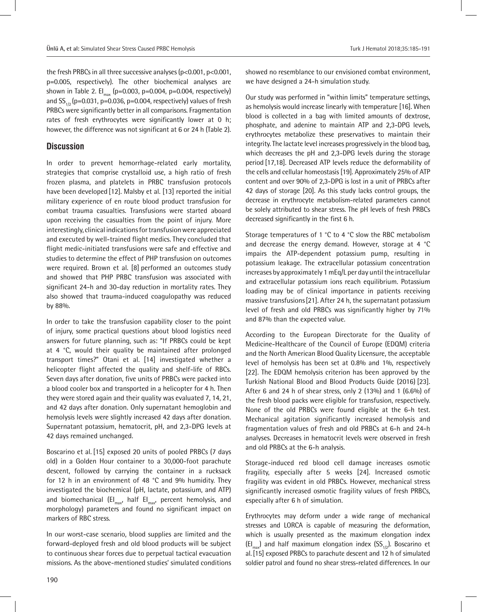the fresh PRBCs in all three successive analyses (p<0.001, p<0.001, p=0.005, respectively). The other biochemical analyses are shown in Table 2. EI<sub>max</sub> (p=0.003, p=0.004, p=0.004, respectively) and  $SS_{1/2}$  (p=0.031, p=0.036, p=0.004, respectively) values of fresh PRBCs were significantly better in all comparisons. Fragmentation rates of fresh erythrocytes were significantly lower at 0 h; however, the difference was not significant at 6 or 24 h (Table 2).

# **Discussion**

In order to prevent hemorrhage-related early mortality, strategies that comprise crystalloid use, a high ratio of fresh frozen plasma, and platelets in PRBC transfusion protocols have been developed [12]. Malsby et al. [13] reported the initial military experience of en route blood product transfusion for combat trauma casualties. Transfusions were started aboard upon receiving the casualties from the point of injury. More interestingly, clinical indications for transfusion were appreciated and executed by well-trained flight medics. They concluded that flight medic-initiated transfusions were safe and effective and studies to determine the effect of PHP transfusion on outcomes were required. Brown et al. [8] performed an outcomes study and showed that PHP PRBC transfusion was associated with significant 24-h and 30-day reduction in mortality rates. They also showed that trauma-induced coagulopathy was reduced by 88%.

In order to take the transfusion capability closer to the point of injury, some practical questions about blood logistics need answers for future planning, such as: "If PRBCs could be kept at 4 °C, would their quality be maintained after prolonged transport times?" Otani et al. [14] investigated whether a helicopter flight affected the quality and shelf-life of RBCs. Seven days after donation, five units of PRBCs were packed into a blood cooler box and transported in a helicopter for 4 h. Then they were stored again and their quality was evaluated 7, 14, 21, and 42 days after donation. Only supernatant hemoglobin and hemolysis levels were slightly increased 42 days after donation. Supernatant potassium, hematocrit, pH, and 2,3-DPG levels at 42 days remained unchanged.

Boscarino et al. [15] exposed 20 units of pooled PRBCs (7 days old) in a Golden Hour container to a 30,000-foot parachute descent, followed by carrying the container in a rucksack for 12 h in an environment of 48 °C and 9% humidity. They investigated the biochemical (pH, lactate, potassium, and ATP) and biomechanical  $\left(\mathsf{El}_{\mathsf{max}}\right)$  half  $\mathsf{El}_{\mathsf{max}}$ , percent hemolysis, and morphology) parameters and found no significant impact on markers of RBC stress.

In our worst-case scenario, blood supplies are limited and the forward-deployed fresh and old blood products will be subject to continuous shear forces due to perpetual tactical evacuation missions. As the above-mentioned studies' simulated conditions showed no resemblance to our envisioned combat environment, we have designed a 24-h simulation study.

Our study was performed in "within limits" temperature settings, as hemolysis would increase linearly with temperature [16]. When blood is collected in a bag with limited amounts of dextrose, phosphate, and adenine to maintain ATP and 2,3-DPG levels, erythrocytes metabolize these preservatives to maintain their integrity. The lactate level increases progressively in the blood bag, which decreases the pH and 2,3-DPG levels during the storage period [17,18]. Decreased ATP levels reduce the deformability of the cells and cellular homeostasis [19]. Approximately 25% of ATP content and over 90% of 2,3-DPG is lost in a unit of PRBCs after 42 days of storage [20]. As this study lacks control groups, the decrease in erythrocyte metabolism-related parameters cannot be solely attributed to shear stress. The pH levels of fresh PRBCs decreased significantly in the first 6 h.

Storage temperatures of 1 °C to 4 °C slow the RBC metabolism and decrease the energy demand. However, storage at 4 °C impairs the ATP-dependent potassium pump, resulting in potassium leakage. The extracellular potassium concentration increases by approximately 1 mEq/L per day until the intracellular and extracellular potassium ions reach equilibrium. Potassium loading may be of clinical importance in patients receiving massive transfusions[21]. After 24 h, the supernatant potassium level of fresh and old PRBCs was significantly higher by 71% and 87% than the expected value.

According to the European Directorate for the Quality of Medicine-Healthcare of the Council of Europe (EDQM) criteria and the North American Blood Quality Licensure, the acceptable level of hemolysis has been set at 0.8% and 1%, respectively [22]. The EDQM hemolysis criterion has been approved by the Turkish National Blood and Blood Products Guide (2016) [23]. After 6 and 24 h of shear stress, only 2 (13%) and 1 (6.6%) of the fresh blood packs were eligible for transfusion, respectively. None of the old PRBCs were found eligible at the 6-h test. Mechanical agitation significantly increased hemolysis and fragmentation values of fresh and old PRBCs at 6-h and 24-h analyses. Decreases in hematocrit levels were observed in fresh and old PRBCs at the 6-h analysis.

Storage-induced red blood cell damage increases osmotic fragility, especially after 5 weeks [24]. Increased osmotic fragility was evident in old PRBCs. However, mechanical stress significantly increased osmotic fragility values of fresh PRBCs, especially after 6 h of simulation.

Erythrocytes may deform under a wide range of mechanical stresses and LORCA is capable of measuring the deformation, which is usually presented as the maximum elongation index  $\left(EI_{\text{max}}\right)$  and half maximum elongation index  $\left(SS_{1/2}\right)$ . Boscarino et al.[15] exposed PRBCs to parachute descent and 12 h of simulated soldier patrol and found no shear stress-related differences. In our